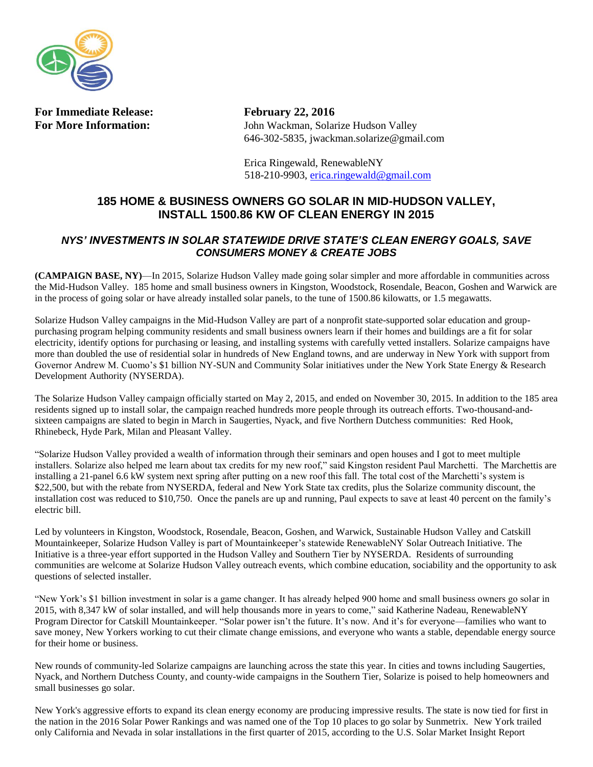

**For Immediate Release: February 22, 2016**

**For More Information:** John Wackman, Solarize Hudson Valley 646-302-5835, jwackman.solarize@gmail.com

> Erica Ringewald, RenewableNY 518-210-9903, [erica.ringewald@gmail.com](mailto:erica.ringewald@gmail.com)

## **185 HOME & BUSINESS OWNERS GO SOLAR IN MID-HUDSON VALLEY, INSTALL 1500.86 KW OF CLEAN ENERGY IN 2015**

## *NYS' INVESTMENTS IN SOLAR STATEWIDE DRIVE STATE'S CLEAN ENERGY GOALS, SAVE CONSUMERS MONEY & CREATE JOBS*

**(CAMPAIGN BASE, NY)**—In 2015, Solarize Hudson Valley made going solar simpler and more affordable in communities across the Mid-Hudson Valley. 185 home and small business owners in Kingston, Woodstock, Rosendale, Beacon, Goshen and Warwick are in the process of going solar or have already installed solar panels, to the tune of 1500.86 kilowatts, or 1.5 megawatts.

Solarize Hudson Valley campaigns in the Mid-Hudson Valley are part of a nonprofit state-supported solar education and grouppurchasing program helping community residents and small business owners learn if their homes and buildings are a fit for solar electricity, identify options for purchasing or leasing, and installing systems with carefully vetted installers. Solarize campaigns have more than doubled the use of residential solar in hundreds of New England towns, and are underway in New York with support from Governor Andrew M. Cuomo's \$1 billion NY-SUN and Community Solar initiatives under the New York State Energy & Research Development Authority (NYSERDA).

The Solarize Hudson Valley campaign officially started on May 2, 2015, and ended on November 30, 2015. In addition to the 185 area residents signed up to install solar, the campaign reached hundreds more people through its outreach efforts. Two-thousand-andsixteen campaigns are slated to begin in March in Saugerties, Nyack, and five Northern Dutchess communities: Red Hook, Rhinebeck, Hyde Park, Milan and Pleasant Valley.

"Solarize Hudson Valley provided a wealth of information through their seminars and open houses and I got to meet multiple installers. Solarize also helped me learn about tax credits for my new roof," said Kingston resident Paul Marchetti. The Marchettis are installing a 21-panel 6.6 kW system next spring after putting on a new roof this fall. The total cost of the Marchetti's system is \$22,500, but with the rebate from NYSERDA, federal and New York State tax credits, plus the Solarize community discount, the installation cost was reduced to \$10,750. Once the panels are up and running, Paul expects to save at least 40 percent on the family's electric bill.

Led by volunteers in Kingston, Woodstock, Rosendale, Beacon, Goshen, and Warwick, Sustainable Hudson Valley and Catskill Mountainkeeper, Solarize Hudson Valley is part of Mountainkeeper's statewide RenewableNY Solar Outreach Initiative. The Initiative is a three-year effort supported in the Hudson Valley and Southern Tier by NYSERDA. Residents of surrounding communities are welcome at Solarize Hudson Valley outreach events, which combine education, sociability and the opportunity to ask questions of selected installer.

"New York's \$1 billion investment in solar is a game changer. It has already helped 900 home and small business owners go solar in 2015, with 8,347 kW of solar installed, and will help thousands more in years to come," said Katherine Nadeau, RenewableNY Program Director for Catskill Mountainkeeper. "Solar power isn't the future. It's now. And it's for everyone—families who want to save money, New Yorkers working to cut their climate change emissions, and everyone who wants a stable, dependable energy source for their home or business.

New rounds of community-led Solarize campaigns are launching across the state this year. In cities and towns including Saugerties, Nyack, and Northern Dutchess County, and county-wide campaigns in the Southern Tier, Solarize is poised to help homeowners and small businesses go solar.

New York's aggressive efforts to expand its clean energy economy are producing impressive results. The state is now tied for first in the nation in the 2016 Solar Power Rankings and was named one of the Top 10 places to go solar by Sunmetrix. New York trailed only California and Nevada in solar installations in the first quarter of 2015, according to the U.S. Solar Market Insight Report